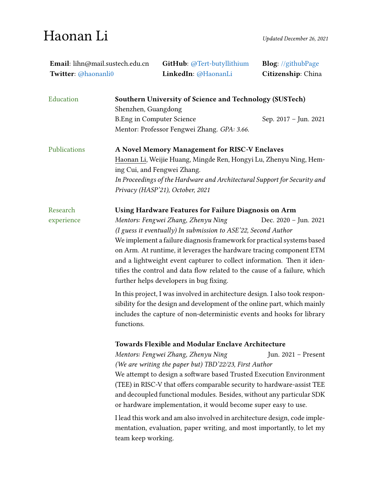## Haonan Li

| Email: lihn@mail.sustech.edu.cn<br>Twitter: @haonanli0 |                                                                                                                                                                                                                                                                                                                                                                                                                                                                                                                                                                                                                                                          | GitHub: @Tert-butyllithium<br>LinkedIn: @HaonanLi       | <b>Blog:</b> //githubPage<br>Citizenship: China |  |
|--------------------------------------------------------|----------------------------------------------------------------------------------------------------------------------------------------------------------------------------------------------------------------------------------------------------------------------------------------------------------------------------------------------------------------------------------------------------------------------------------------------------------------------------------------------------------------------------------------------------------------------------------------------------------------------------------------------------------|---------------------------------------------------------|-------------------------------------------------|--|
| Education                                              | Shenzhen, Guangdong                                                                                                                                                                                                                                                                                                                                                                                                                                                                                                                                                                                                                                      | Southern University of Science and Technology (SUSTech) |                                                 |  |
|                                                        | <b>B.Eng in Computer Science</b>                                                                                                                                                                                                                                                                                                                                                                                                                                                                                                                                                                                                                         | Mentor: Professor Fengwei Zhang. GPA: 3.66.             | Sep. 2017 - Jun. 2021                           |  |
| Publications                                           | A Novel Memory Management for RISC-V Enclaves<br>Haonan Li, Weijie Huang, Mingde Ren, Hongyi Lu, Zhenyu Ning, Hem-<br>ing Cui, and Fengwei Zhang.<br>In Proceedings of the Hardware and Architectural Support for Security and<br>Privacy (HASP'21), October, 2021                                                                                                                                                                                                                                                                                                                                                                                       |                                                         |                                                 |  |
| Research<br>experience                                 | Using Hardware Features for Failure Diagnosis on Arm<br>Mentors: Fengwei Zhang, Zhenyu Ning<br>Dec. 2020 - Jun. 2021<br>(I guess it eventually) In submission to ASE'22, Second Author<br>We implement a failure diagnosis framework for practical systems based<br>on Arm. At runtime, it leverages the hardware tracing component ETM<br>and a lightweight event capturer to collect information. Then it iden-<br>tifies the control and data flow related to the cause of a failure, which<br>further helps developers in bug fixing.                                                                                                                |                                                         |                                                 |  |
|                                                        | In this project, I was involved in architecture design. I also took respon-<br>sibility for the design and development of the online part, which mainly<br>includes the capture of non-deterministic events and hooks for library<br>functions.                                                                                                                                                                                                                                                                                                                                                                                                          |                                                         |                                                 |  |
|                                                        | <b>Towards Flexible and Modular Enclave Architecture</b><br>Mentors: Fengwei Zhang, Zhenyu Ning<br>Jun. 2021 - Present<br>(We are writing the paper but) TBD'22/23, First Author<br>We attempt to design a software based Trusted Execution Environment<br>(TEE) in RISC-V that offers comparable security to hardware-assist TEE<br>and decoupled functional modules. Besides, without any particular SDK<br>or hardware implementation, it would become super easy to use.<br>I lead this work and am also involved in architecture design, code imple-<br>mentation, evaluation, paper writing, and most importantly, to let my<br>team keep working. |                                                         |                                                 |  |